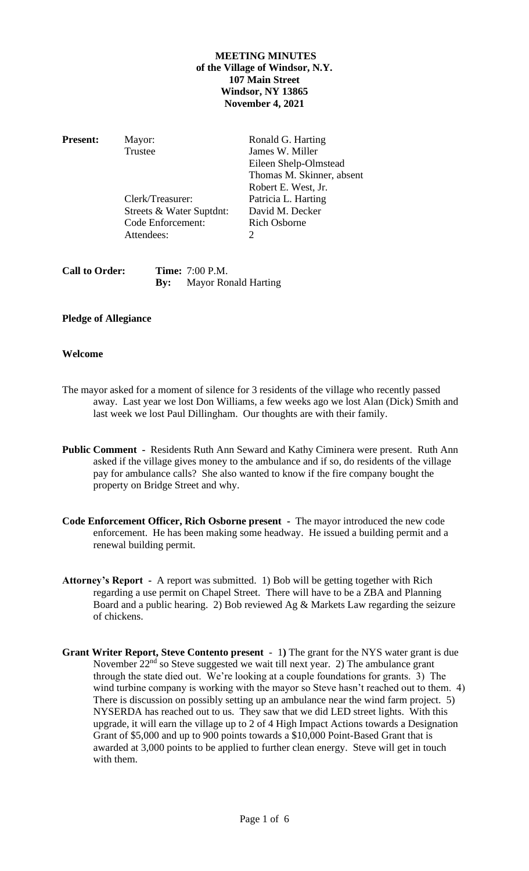# **MEETING MINUTES of the Village of Windsor, N.Y. 107 Main Street Windsor, NY 13865 November 4, 2021**

**Present:** Mayor: Ronald G. Harting

Clerk/Treasurer: Patricia L. Harting Streets & Water Suptdnt: David M. Decker<br>
Code Enforcement: Rich Osborne Code Enforcement: Attendees: 2

Trustee James W. Miller Eileen Shelp-Olmstead Thomas M. Skinner, absent Robert E. West, Jr.

**Call to Order: Time:** 7:00 P.M. **By:** Mayor Ronald Harting

# **Pledge of Allegiance**

# **Welcome**

- The mayor asked for a moment of silence for 3 residents of the village who recently passed away. Last year we lost Don Williams, a few weeks ago we lost Alan (Dick) Smith and last week we lost Paul Dillingham. Our thoughts are with their family.
- **Public Comment -** Residents Ruth Ann Seward and Kathy Ciminera were present. Ruth Ann asked if the village gives money to the ambulance and if so, do residents of the village pay for ambulance calls? She also wanted to know if the fire company bought the property on Bridge Street and why.
- **Code Enforcement Officer, Rich Osborne present -** The mayor introduced the new code enforcement. He has been making some headway. He issued a building permit and a renewal building permit.
- **Attorney's Report -** A report was submitted. 1) Bob will be getting together with Rich regarding a use permit on Chapel Street. There will have to be a ZBA and Planning Board and a public hearing. 2) Bob reviewed Ag & Markets Law regarding the seizure of chickens.
- **Grant Writer Report, Steve Contento present**  1**)** The grant for the NYS water grant is due November  $22<sup>nd</sup>$  so Steve suggested we wait till next year. 2) The ambulance grant through the state died out. We're looking at a couple foundations for grants. 3) The wind turbine company is working with the mayor so Steve hasn't reached out to them. 4) There is discussion on possibly setting up an ambulance near the wind farm project. 5) NYSERDA has reached out to us. They saw that we did LED street lights. With this upgrade, it will earn the village up to 2 of 4 High Impact Actions towards a Designation Grant of \$5,000 and up to 900 points towards a \$10,000 Point-Based Grant that is awarded at 3,000 points to be applied to further clean energy. Steve will get in touch with them.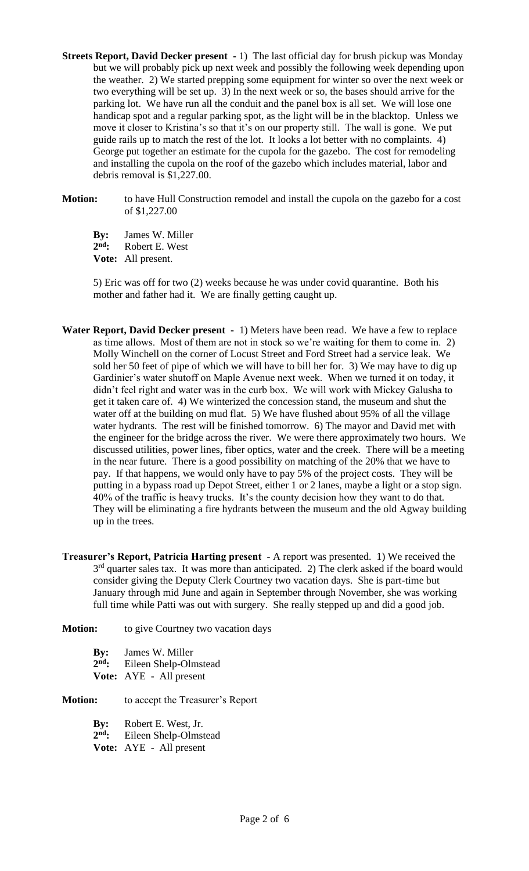**Streets Report, David Decker present -** 1) The last official day for brush pickup was Monday but we will probably pick up next week and possibly the following week depending upon the weather. 2) We started prepping some equipment for winter so over the next week or two everything will be set up. 3) In the next week or so, the bases should arrive for the parking lot. We have run all the conduit and the panel box is all set. We will lose one handicap spot and a regular parking spot, as the light will be in the blacktop. Unless we move it closer to Kristina's so that it's on our property still. The wall is gone. We put guide rails up to match the rest of the lot. It looks a lot better with no complaints. 4) George put together an estimate for the cupola for the gazebo. The cost for remodeling and installing the cupola on the roof of the gazebo which includes material, labor and debris removal is \$1,227.00.

**Motion:** to have Hull Construction remodel and install the cupola on the gazebo for a cost of \$1,227.00

**By:** James W. Miller 2<sup>nd</sup>: **Robert E. West Vote:** All present.

5) Eric was off for two (2) weeks because he was under covid quarantine. Both his mother and father had it. We are finally getting caught up.

- **Water Report, David Decker present** 1) Meters have been read. We have a few to replace as time allows. Most of them are not in stock so we're waiting for them to come in. 2) Molly Winchell on the corner of Locust Street and Ford Street had a service leak. We sold her 50 feet of pipe of which we will have to bill her for. 3) We may have to dig up Gardinier's water shutoff on Maple Avenue next week. When we turned it on today, it didn't feel right and water was in the curb box. We will work with Mickey Galusha to get it taken care of. 4) We winterized the concession stand, the museum and shut the water off at the building on mud flat. 5) We have flushed about 95% of all the village water hydrants. The rest will be finished tomorrow. 6) The mayor and David met with the engineer for the bridge across the river. We were there approximately two hours. We discussed utilities, power lines, fiber optics, water and the creek. There will be a meeting in the near future. There is a good possibility on matching of the 20% that we have to pay. If that happens, we would only have to pay 5% of the project costs. They will be putting in a bypass road up Depot Street, either 1 or 2 lanes, maybe a light or a stop sign. 40% of the traffic is heavy trucks. It's the county decision how they want to do that. They will be eliminating a fire hydrants between the museum and the old Agway building up in the trees.
- **Treasurer's Report, Patricia Harting present -** A report was presented. 1) We received the 3<sup>rd</sup> quarter sales tax. It was more than anticipated. 2) The clerk asked if the board would consider giving the Deputy Clerk Courtney two vacation days. She is part-time but January through mid June and again in September through November, she was working full time while Patti was out with surgery. She really stepped up and did a good job.

**Motion:** to give Courtney two vacation days

**By:** James W. Miller 2<sup>nd</sup>: **nd:** Eileen Shelp-Olmstead **Vote:** AYE - All present

**Motion:** to accept the Treasurer's Report

**By:** Robert E. West, Jr.  $2<sup>nd</sup>$ : **nd:** Eileen Shelp-Olmstead **Vote:** AYE - All present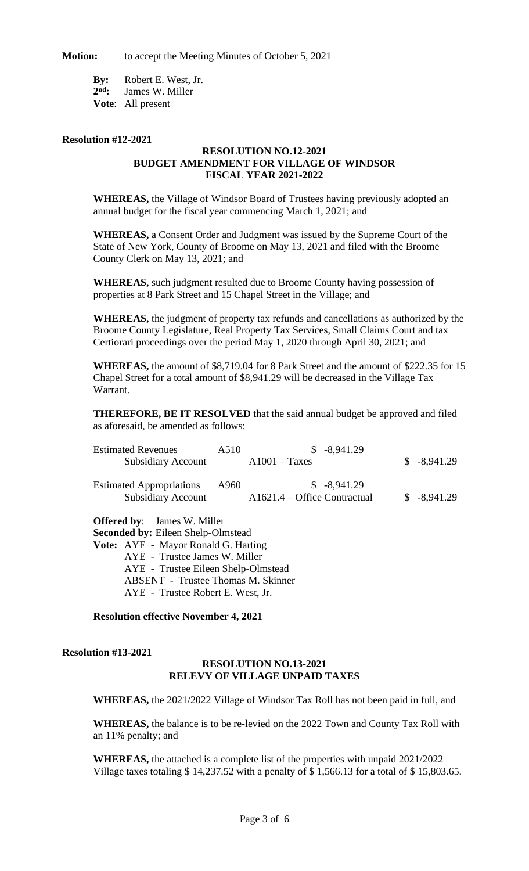**Motion:** to accept the Meeting Minutes of October 5, 2021

**By:** Robert E. West, Jr. 2<sup>nd</sup>: James W. Miller **Vote**: All present

#### **Resolution #12-2021**

### **RESOLUTION NO.12-2021 BUDGET AMENDMENT FOR VILLAGE OF WINDSOR FISCAL YEAR 2021-2022**

**WHEREAS,** the Village of Windsor Board of Trustees having previously adopted an annual budget for the fiscal year commencing March 1, 2021; and

**WHEREAS,** a Consent Order and Judgment was issued by the Supreme Court of the State of New York, County of Broome on May 13, 2021 and filed with the Broome County Clerk on May 13, 2021; and

**WHEREAS,** such judgment resulted due to Broome County having possession of properties at 8 Park Street and 15 Chapel Street in the Village; and

**WHEREAS,** the judgment of property tax refunds and cancellations as authorized by the Broome County Legislature, Real Property Tax Services, Small Claims Court and tax Certiorari proceedings over the period May 1, 2020 through April 30, 2021; and

**WHEREAS,** the amount of \$8,719.04 for 8 Park Street and the amount of \$222.35 for 15 Chapel Street for a total amount of \$8,941.29 will be decreased in the Village Tax Warrant.

**THEREFORE, BE IT RESOLVED** that the said annual budget be approved and filed as aforesaid, be amended as follows:

| <b>Estimated Revenues</b><br><b>Subsidiary Account</b>       | A510 | $$ -8,941.29$<br>$A1001 - Taxes$               | $$ -8,941.29$ |
|--------------------------------------------------------------|------|------------------------------------------------|---------------|
| <b>Estimated Appropriations</b><br><b>Subsidiary Account</b> | A960 | $$-8,941.29$<br>$A1621.4 - Office Contractual$ | $$-8,941.29$  |
| <b>Offered by:</b> James W. Miller                           |      |                                                |               |

**Seconded by:** Eileen Shelp-Olmstead **Vote:** AYE - Mayor Ronald G. Harting AYE - Trustee James W. Miller AYE - Trustee Eileen Shelp-Olmstead ABSENT - Trustee Thomas M. Skinner AYE - Trustee Robert E. West, Jr.

**Resolution effective November 4, 2021**

**Resolution #13-2021**

## **RESOLUTION NO.13-2021 RELEVY OF VILLAGE UNPAID TAXES**

**WHEREAS,** the 2021/2022 Village of Windsor Tax Roll has not been paid in full, and

**WHEREAS,** the balance is to be re-levied on the 2022 Town and County Tax Roll with an 11% penalty; and

**WHEREAS,** the attached is a complete list of the properties with unpaid 2021/2022 Village taxes totaling \$ 14,237.52 with a penalty of \$ 1,566.13 for a total of \$ 15,803.65.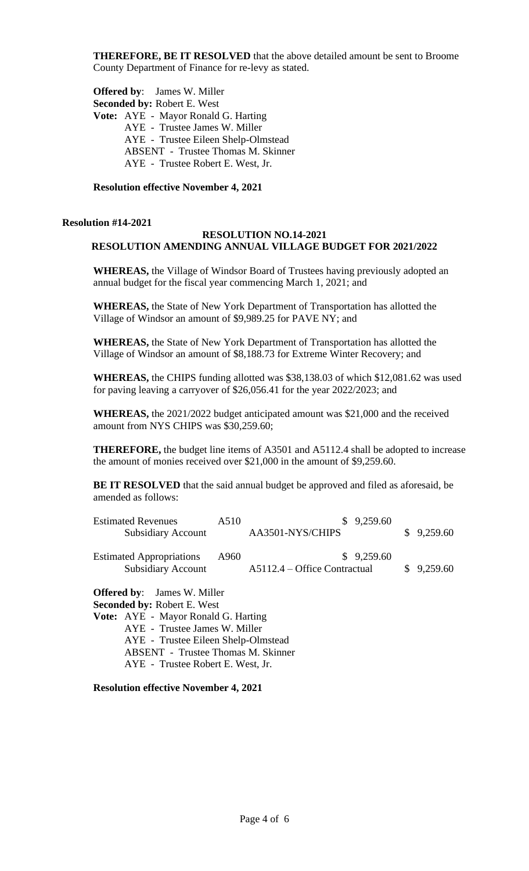**THEREFORE, BE IT RESOLVED** that the above detailed amount be sent to Broome County Department of Finance for re-levy as stated.

**Offered by**: James W. Miller **Seconded by:** Robert E. West **Vote:** AYE - Mayor Ronald G. Harting AYE - Trustee James W. Miller AYE - Trustee Eileen Shelp-Olmstead ABSENT - Trustee Thomas M. Skinner AYE - Trustee Robert E. West, Jr.

**Resolution effective November 4, 2021**

#### **Resolution #14-2021**

## **RESOLUTION NO.14-2021 RESOLUTION AMENDING ANNUAL VILLAGE BUDGET FOR 2021/2022**

**WHEREAS,** the Village of Windsor Board of Trustees having previously adopted an annual budget for the fiscal year commencing March 1, 2021; and

**WHEREAS,** the State of New York Department of Transportation has allotted the Village of Windsor an amount of \$9,989.25 for PAVE NY; and

**WHEREAS,** the State of New York Department of Transportation has allotted the Village of Windsor an amount of \$8,188.73 for Extreme Winter Recovery; and

**WHEREAS,** the CHIPS funding allotted was \$38,138.03 of which \$12,081.62 was used for paving leaving a carryover of \$26,056.41 for the year 2022/2023; and

**WHEREAS,** the 2021/2022 budget anticipated amount was \$21,000 and the received amount from NYS CHIPS was \$30,259.60;

**THEREFORE,** the budget line items of A3501 and A5112.4 shall be adopted to increase the amount of monies received over \$21,000 in the amount of \$9,259.60.

**BE IT RESOLVED** that the said annual budget be approved and filed as aforesaid, be amended as follows:

| <b>Estimated Revenues</b>       | A510 | \$9,259.60                     |            |
|---------------------------------|------|--------------------------------|------------|
| <b>Subsidiary Account</b>       |      | AA3501-NYS/CHIPS               | \$9,259.60 |
| <b>Estimated Appropriations</b> | A960 | \$9,259.60                     |            |
| <b>Subsidiary Account</b>       |      | $A5112.4 - Office Contractual$ | \$9,259.60 |

**Offered by**: James W. Miller

**Seconded by:** Robert E. West

**Vote:** AYE - Mayor Ronald G. Harting AYE - Trustee James W. Miller AYE - Trustee Eileen Shelp-Olmstead ABSENT - Trustee Thomas M. Skinner AYE - Trustee Robert E. West, Jr.

**Resolution effective November 4, 2021**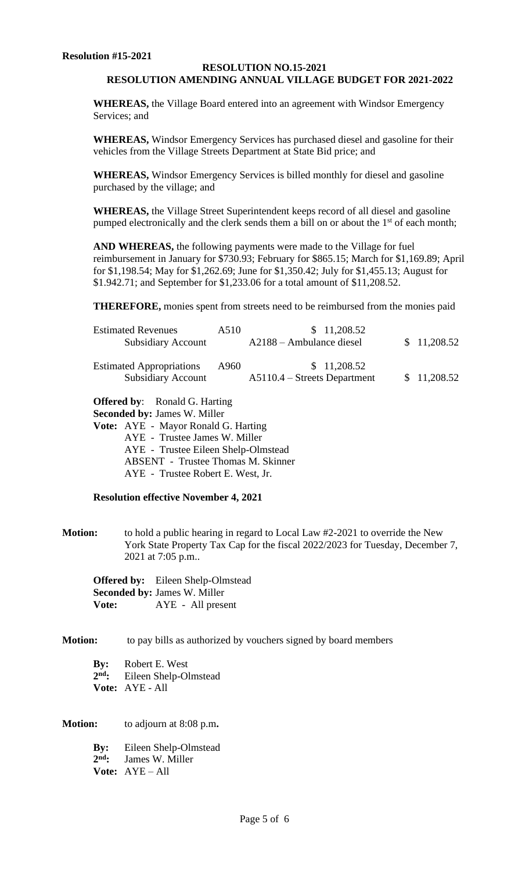## **RESOLUTION NO.15-2021 RESOLUTION AMENDING ANNUAL VILLAGE BUDGET FOR 2021-2022**

**WHEREAS,** the Village Board entered into an agreement with Windsor Emergency Services; and

**WHEREAS,** Windsor Emergency Services has purchased diesel and gasoline for their vehicles from the Village Streets Department at State Bid price; and

**WHEREAS,** Windsor Emergency Services is billed monthly for diesel and gasoline purchased by the village; and

**WHEREAS,** the Village Street Superintendent keeps record of all diesel and gasoline pumped electronically and the clerk sends them a bill on or about the  $1<sup>st</sup>$  of each month;

**AND WHEREAS,** the following payments were made to the Village for fuel reimbursement in January for \$730.93; February for \$865.15; March for \$1,169.89; April for \$1,198.54; May for \$1,262.69; June for \$1,350.42; July for \$1,455.13; August for \$1.942.71; and September for \$1,233.06 for a total amount of \$11,208.52.

**THEREFORE,** monies spent from streets need to be reimbursed from the monies paid

| <b>Estimated Revenues</b><br><b>Subsidiary Account</b>       | A510 | \$11,208.52<br>$A2188 - Ambulance diesel$     | \$11,208.52 |
|--------------------------------------------------------------|------|-----------------------------------------------|-------------|
| <b>Estimated Appropriations</b><br><b>Subsidiary Account</b> | A960 | \$11,208.52<br>$A5110.4 - Streets Department$ | \$11,208.52 |

**Offered by**: Ronald G. Harting

**Seconded by:** James W. Miller

**Vote:** AYE - Mayor Ronald G. Harting AYE - Trustee James W. Miller AYE - Trustee Eileen Shelp-Olmstead ABSENT - Trustee Thomas M. Skinner AYE - Trustee Robert E. West, Jr.

## **Resolution effective November 4, 2021**

**Motion:** to hold a public hearing in regard to Local Law #2-2021 to override the New York State Property Tax Cap for the fiscal 2022/2023 for Tuesday, December 7, 2021 at 7:05 p.m..

**Offered by:** Eileen Shelp-Olmstead **Seconded by:** James W. Miller **Vote:** AYE - All present

**Motion:** to pay bills as authorized by vouchers signed by board members

**By:** Robert E. West 2<sup>nd</sup>: **nd:** Eileen Shelp-Olmstead **Vote:** AYE - All

**Motion:** to adjourn at 8:08 p.m**.**

**By:** Eileen Shelp-Olmstead 2<sup>nd</sup>: James W. Miller **Vote:** AYE – All